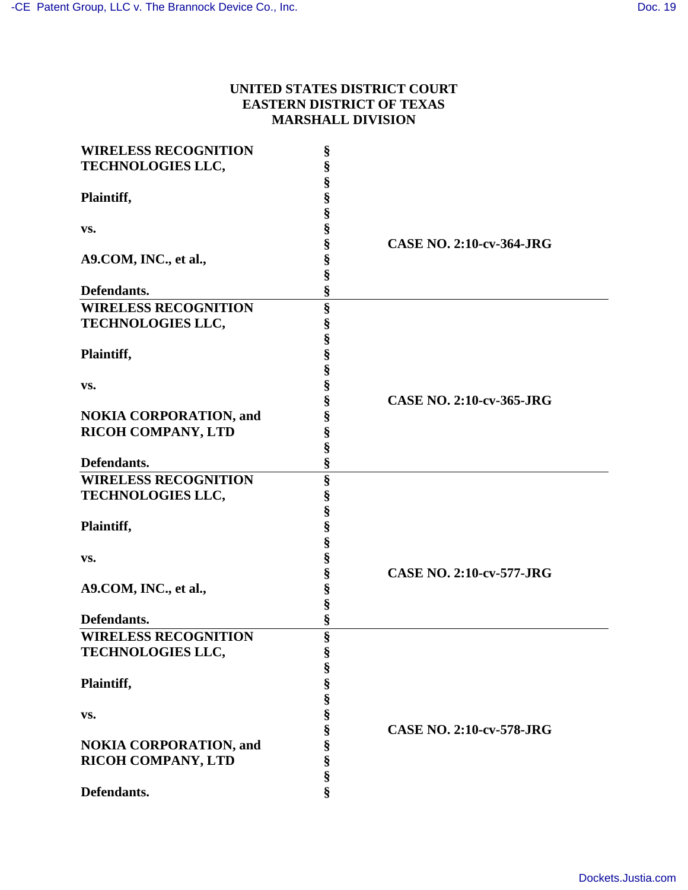# **UNITED STATES DISTRICT COURT EASTERN DISTRICT OF TEXAS MARSHALL DIVISION**

| <b>WIRELESS RECOGNITION</b>   | § |                                 |
|-------------------------------|---|---------------------------------|
| TECHNOLOGIES LLC,             | § |                                 |
|                               | § |                                 |
| Plaintiff,                    | § |                                 |
|                               | § |                                 |
| VS.                           | § |                                 |
|                               | § | <b>CASE NO. 2:10-cv-364-JRG</b> |
| A9.COM, INC., et al.,         | § |                                 |
|                               | § |                                 |
| Defendants.                   | § |                                 |
|                               |   |                                 |
| <b>WIRELESS RECOGNITION</b>   | § |                                 |
| TECHNOLOGIES LLC,             | § |                                 |
|                               | § |                                 |
| Plaintiff,                    | § |                                 |
|                               | § |                                 |
| VS.                           | § |                                 |
|                               | § | <b>CASE NO. 2:10-cv-365-JRG</b> |
| <b>NOKIA CORPORATION, and</b> | § |                                 |
| RICOH COMPANY, LTD            | § |                                 |
|                               | § |                                 |
| Defendants.                   | § |                                 |
| <b>WIRELESS RECOGNITION</b>   | § |                                 |
| <b>TECHNOLOGIES LLC,</b>      | § |                                 |
|                               | § |                                 |
| Plaintiff,                    | § |                                 |
|                               | § |                                 |
|                               |   |                                 |
| VS.                           | § | <b>CASE NO. 2:10-cv-577-JRG</b> |
|                               | § |                                 |
| A9.COM, INC., et al.,         | § |                                 |
|                               | § |                                 |
| Defendants.                   | § |                                 |
| <b>WIRELESS RECOGNITION</b>   | § |                                 |
| TECHNOLOGIES LLC,             | Ş |                                 |
|                               | § |                                 |
| Plaintiff,                    | § |                                 |
|                               | § |                                 |
| VS.                           | § |                                 |
|                               | § | <b>CASE NO. 2:10-cv-578-JRG</b> |
| <b>NOKIA CORPORATION, and</b> | § |                                 |
| <b>RICOH COMPANY, LTD</b>     | § |                                 |
|                               | § |                                 |
| Defendants.                   | § |                                 |
|                               |   |                                 |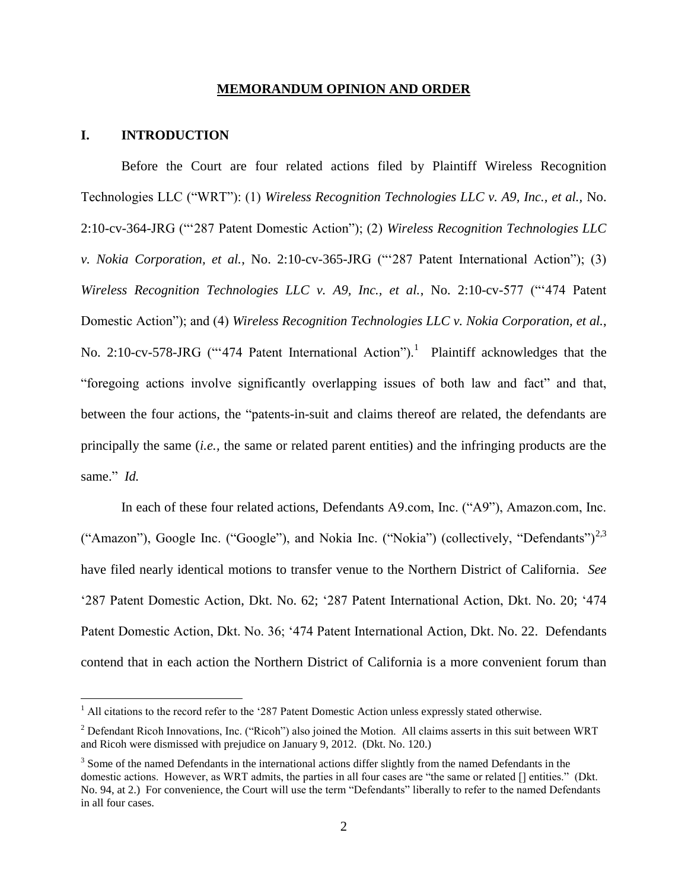#### **MEMORANDUM OPINION AND ORDER**

#### **I. INTRODUCTION**

 $\overline{a}$ 

Before the Court are four related actions filed by Plaintiff Wireless Recognition Technologies LLC ("WRT"): (1) *Wireless Recognition Technologies LLC v. A9, Inc., et al.,* No. 2:10-cv-364-JRG ("'287 Patent Domestic Action"); (2) *Wireless Recognition Technologies LLC v. Nokia Corporation, et al.*, No. 2:10-cv-365-JRG ("'287 Patent International Action"); (3) *Wireless Recognition Technologies LLC v. A9, Inc., et al.*, No. 2:10-cv-577 ("'474 Patent Domestic Action"); and (4) *Wireless Recognition Technologies LLC v. Nokia Corporation, et al.*, No. 2:10-cv-578-JRG ("474 Patent International Action").<sup>1</sup> Plaintiff acknowledges that the "foregoing actions involve significantly overlapping issues of both law and fact" and that, between the four actions, the "patents-in-suit and claims thereof are related, the defendants are principally the same (*i.e.,* the same or related parent entities) and the infringing products are the same." *Id.* 

In each of these four related actions, Defendants A9.com, Inc. ("A9"), Amazon.com, Inc. ("Amazon"), Google Inc. ("Google"), and Nokia Inc. ("Nokia") (collectively, "Defendants")<sup>2,3</sup> have filed nearly identical motions to transfer venue to the Northern District of California. *See* '287 Patent Domestic Action, Dkt. No. 62; '287 Patent International Action, Dkt. No. 20; '474 Patent Domestic Action, Dkt. No. 36; '474 Patent International Action, Dkt. No. 22. Defendants contend that in each action the Northern District of California is a more convenient forum than

 $1$  All citations to the record refer to the '287 Patent Domestic Action unless expressly stated otherwise.

<sup>&</sup>lt;sup>2</sup> Defendant Ricoh Innovations, Inc. ("Ricoh") also joined the Motion. All claims asserts in this suit between WRT and Ricoh were dismissed with prejudice on January 9, 2012. (Dkt. No. 120.)

<sup>&</sup>lt;sup>3</sup> Some of the named Defendants in the international actions differ slightly from the named Defendants in the domestic actions. However, as WRT admits, the parties in all four cases are "the same or related [] entities." (Dkt. No. 94, at 2.) For convenience, the Court will use the term "Defendants" liberally to refer to the named Defendants in all four cases.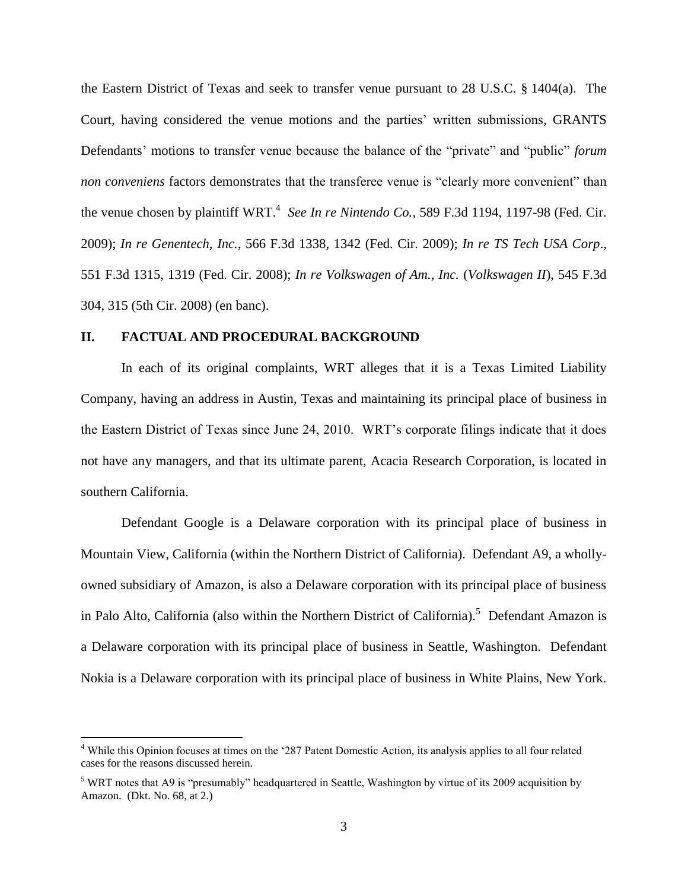the Eastern District of Texas and seek to transfer venue pursuant to 28 U.S.C. § 1404(a). The Court, having considered the venue motions and the parties' written submissions, GRANTS Defendants' motions to transfer venue because the balance of the "private" and "public" *forum non conveniens* factors demonstrates that the transferee venue is "clearly more convenient" than the venue chosen by plaintiff WRT. 4 *See In re Nintendo Co.*, 589 F.3d 1194, 1197-98 (Fed. Cir. 2009); *In re Genentech, Inc.*, 566 F.3d 1338, 1342 (Fed. Cir. 2009); *In re TS Tech USA Corp*., 551 F.3d 1315, 1319 (Fed. Cir. 2008); *In re Volkswagen of Am., Inc.* (*Volkswagen II*), 545 F.3d 304, 315 (5th Cir. 2008) (en banc).

### **II. FACTUAL AND PROCEDURAL BACKGROUND**

 $\overline{a}$ 

In each of its original complaints, WRT alleges that it is a Texas Limited Liability Company, having an address in Austin, Texas and maintaining its principal place of business in the Eastern District of Texas since June 24, 2010. WRT's corporate filings indicate that it does not have any managers, and that its ultimate parent, Acacia Research Corporation, is located in southern California.

Defendant Google is a Delaware corporation with its principal place of business in Mountain View, California (within the Northern District of California). Defendant A9, a whollyowned subsidiary of Amazon, is also a Delaware corporation with its principal place of business in Palo Alto, California (also within the Northern District of California).<sup>5</sup> Defendant Amazon is a Delaware corporation with its principal place of business in Seattle, Washington. Defendant Nokia is a Delaware corporation with its principal place of business in White Plains, New York.

<sup>&</sup>lt;sup>4</sup> While this Opinion focuses at times on the '287 Patent Domestic Action, its analysis applies to all four related cases for the reasons discussed herein.

<sup>&</sup>lt;sup>5</sup> WRT notes that A9 is "presumably" headquartered in Seattle, Washington by virtue of its 2009 acquisition by Amazon. (Dkt. No. 68, at 2.)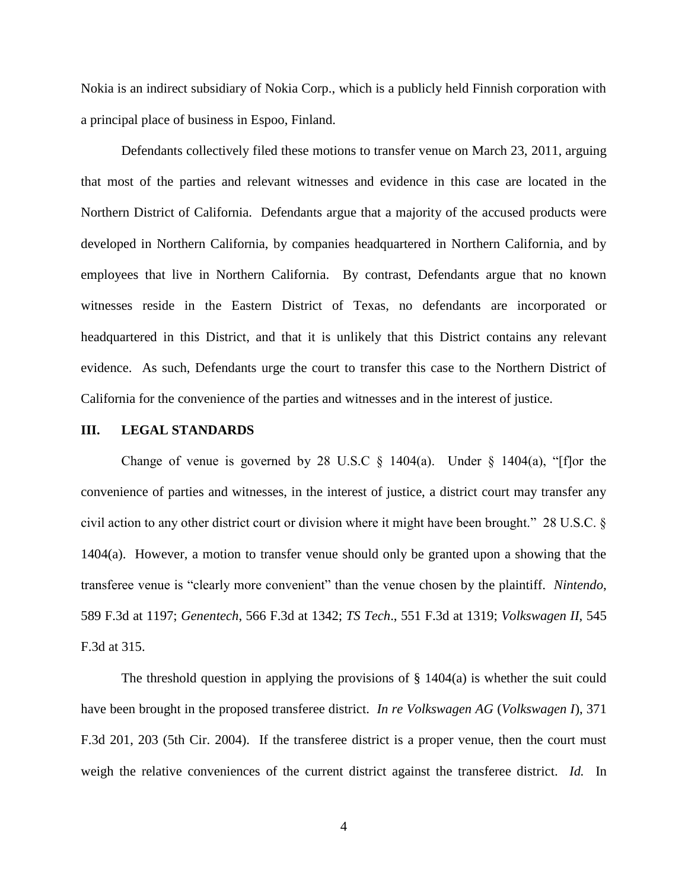Nokia is an indirect subsidiary of Nokia Corp., which is a publicly held Finnish corporation with a principal place of business in Espoo, Finland.

Defendants collectively filed these motions to transfer venue on March 23, 2011, arguing that most of the parties and relevant witnesses and evidence in this case are located in the Northern District of California. Defendants argue that a majority of the accused products were developed in Northern California, by companies headquartered in Northern California, and by employees that live in Northern California. By contrast, Defendants argue that no known witnesses reside in the Eastern District of Texas, no defendants are incorporated or headquartered in this District, and that it is unlikely that this District contains any relevant evidence. As such, Defendants urge the court to transfer this case to the Northern District of California for the convenience of the parties and witnesses and in the interest of justice.

#### **III. LEGAL STANDARDS**

Change of venue is governed by 28 U.S.C  $\S$  1404(a). Under  $\S$  1404(a), "[f]or the convenience of parties and witnesses, in the interest of justice, a district court may transfer any civil action to any other district court or division where it might have been brought." 28 U.S.C. § 1404(a). However, a motion to transfer venue should only be granted upon a showing that the transferee venue is "clearly more convenient" than the venue chosen by the plaintiff. *Nintendo*, 589 F.3d at 1197; *Genentech*, 566 F.3d at 1342; *TS Tech*., 551 F.3d at 1319; *Volkswagen II*, 545 F.3d at 315.

The threshold question in applying the provisions of  $\S$  1404(a) is whether the suit could have been brought in the proposed transferee district. *In re Volkswagen AG* (*Volkswagen I*), 371 F.3d 201, 203 (5th Cir. 2004). If the transferee district is a proper venue, then the court must weigh the relative conveniences of the current district against the transferee district. *Id.* In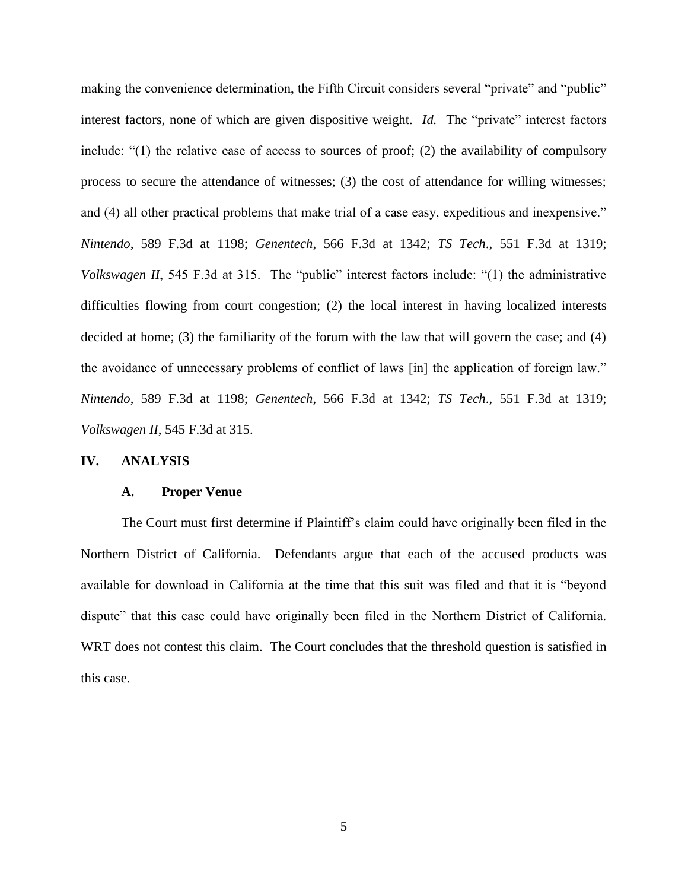making the convenience determination, the Fifth Circuit considers several "private" and "public" interest factors, none of which are given dispositive weight. *Id.* The "private" interest factors include: "(1) the relative ease of access to sources of proof; (2) the availability of compulsory process to secure the attendance of witnesses; (3) the cost of attendance for willing witnesses; and (4) all other practical problems that make trial of a case easy, expeditious and inexpensive." *Nintendo*, 589 F.3d at 1198; *Genentech*, 566 F.3d at 1342; *TS Tech*., 551 F.3d at 1319; *Volkswagen II*, 545 F.3d at 315. The "public" interest factors include: "(1) the administrative difficulties flowing from court congestion; (2) the local interest in having localized interests decided at home; (3) the familiarity of the forum with the law that will govern the case; and (4) the avoidance of unnecessary problems of conflict of laws [in] the application of foreign law." *Nintendo*, 589 F.3d at 1198; *Genentech*, 566 F.3d at 1342; *TS Tech*., 551 F.3d at 1319; *Volkswagen II*, 545 F.3d at 315.

### **IV. ANALYSIS**

#### **A. Proper Venue**

The Court must first determine if Plaintiff's claim could have originally been filed in the Northern District of California. Defendants argue that each of the accused products was available for download in California at the time that this suit was filed and that it is "beyond dispute" that this case could have originally been filed in the Northern District of California. WRT does not contest this claim. The Court concludes that the threshold question is satisfied in this case.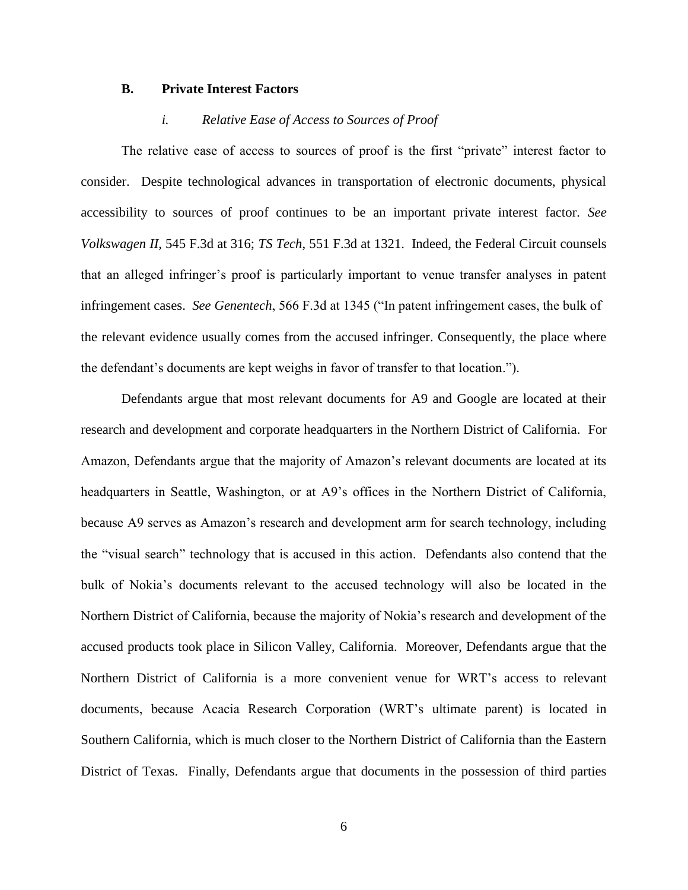#### **B. Private Interest Factors**

#### *i. Relative Ease of Access to Sources of Proof*

The relative ease of access to sources of proof is the first "private" interest factor to consider. Despite technological advances in transportation of electronic documents, physical accessibility to sources of proof continues to be an important private interest factor. *See Volkswagen II*, 545 F.3d at 316; *TS Tech*, 551 F.3d at 1321. Indeed, the Federal Circuit counsels that an alleged infringer's proof is particularly important to venue transfer analyses in patent infringement cases. *See Genentech*, 566 F.3d at 1345 ("In patent infringement cases, the bulk of the relevant evidence usually comes from the accused infringer. Consequently, the place where the defendant's documents are kept weighs in favor of transfer to that location.").

Defendants argue that most relevant documents for A9 and Google are located at their research and development and corporate headquarters in the Northern District of California. For Amazon, Defendants argue that the majority of Amazon's relevant documents are located at its headquarters in Seattle, Washington, or at A9's offices in the Northern District of California, because A9 serves as Amazon's research and development arm for search technology, including the "visual search" technology that is accused in this action. Defendants also contend that the bulk of Nokia's documents relevant to the accused technology will also be located in the Northern District of California, because the majority of Nokia's research and development of the accused products took place in Silicon Valley, California. Moreover, Defendants argue that the Northern District of California is a more convenient venue for WRT's access to relevant documents, because Acacia Research Corporation (WRT's ultimate parent) is located in Southern California, which is much closer to the Northern District of California than the Eastern District of Texas. Finally, Defendants argue that documents in the possession of third parties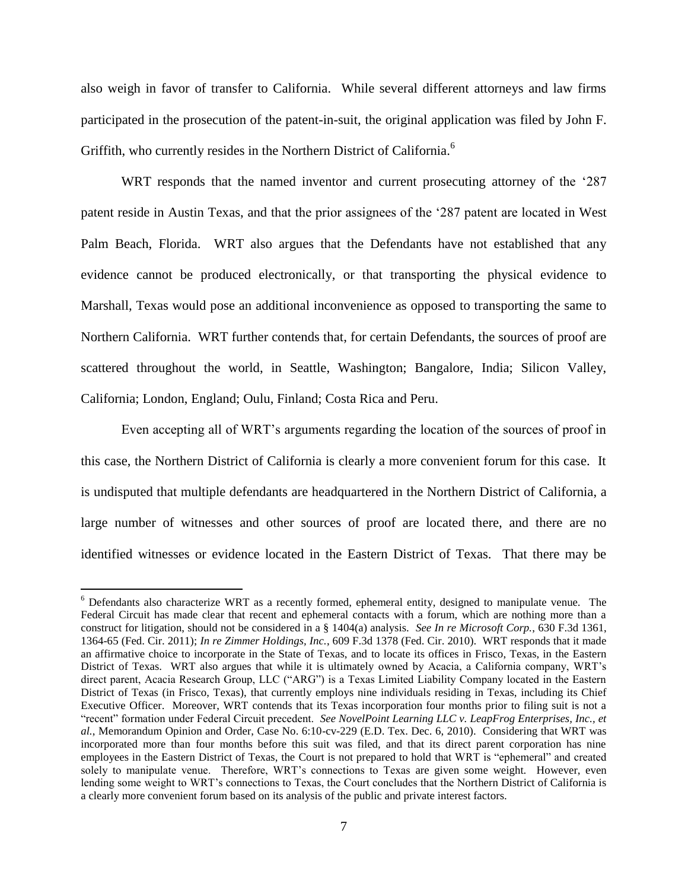also weigh in favor of transfer to California. While several different attorneys and law firms participated in the prosecution of the patent-in-suit, the original application was filed by John F. Griffith, who currently resides in the Northern District of California.<sup>6</sup>

WRT responds that the named inventor and current prosecuting attorney of the '287 patent reside in Austin Texas, and that the prior assignees of the '287 patent are located in West Palm Beach, Florida. WRT also argues that the Defendants have not established that any evidence cannot be produced electronically, or that transporting the physical evidence to Marshall, Texas would pose an additional inconvenience as opposed to transporting the same to Northern California. WRT further contends that, for certain Defendants, the sources of proof are scattered throughout the world, in Seattle, Washington; Bangalore, India; Silicon Valley, California; London, England; Oulu, Finland; Costa Rica and Peru.

Even accepting all of WRT's arguments regarding the location of the sources of proof in this case, the Northern District of California is clearly a more convenient forum for this case. It is undisputed that multiple defendants are headquartered in the Northern District of California, a large number of witnesses and other sources of proof are located there, and there are no identified witnesses or evidence located in the Eastern District of Texas. That there may be

 $\overline{a}$ 

<sup>&</sup>lt;sup>6</sup> Defendants also characterize WRT as a recently formed, ephemeral entity, designed to manipulate venue. The Federal Circuit has made clear that recent and ephemeral contacts with a forum, which are nothing more than a construct for litigation, should not be considered in a § 1404(a) analysis. *See In re Microsoft Corp.*, 630 F.3d 1361, 1364-65 (Fed. Cir. 2011); *In re Zimmer Holdings, Inc.*, 609 F.3d 1378 (Fed. Cir. 2010). WRT responds that it made an affirmative choice to incorporate in the State of Texas, and to locate its offices in Frisco, Texas, in the Eastern District of Texas. WRT also argues that while it is ultimately owned by Acacia, a California company, WRT's direct parent, Acacia Research Group, LLC ("ARG") is a Texas Limited Liability Company located in the Eastern District of Texas (in Frisco, Texas), that currently employs nine individuals residing in Texas, including its Chief Executive Officer. Moreover, WRT contends that its Texas incorporation four months prior to filing suit is not a "recent" formation under Federal Circuit precedent. *See NovelPoint Learning LLC v. LeapFrog Enterprises, Inc., et al.*, Memorandum Opinion and Order, Case No. 6:10-cv-229 (E.D. Tex. Dec. 6, 2010). Considering that WRT was incorporated more than four months before this suit was filed, and that its direct parent corporation has nine employees in the Eastern District of Texas, the Court is not prepared to hold that WRT is "ephemeral" and created solely to manipulate venue. Therefore, WRT's connections to Texas are given some weight. However, even lending some weight to WRT's connections to Texas, the Court concludes that the Northern District of California is a clearly more convenient forum based on its analysis of the public and private interest factors.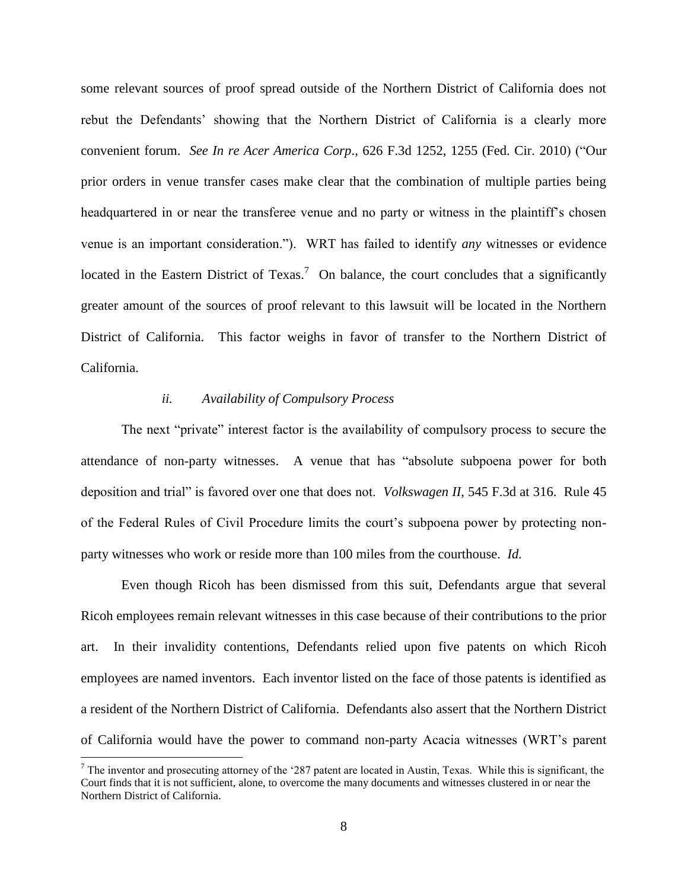some relevant sources of proof spread outside of the Northern District of California does not rebut the Defendants' showing that the Northern District of California is a clearly more convenient forum. *See In re Acer America Corp*., 626 F.3d 1252, 1255 (Fed. Cir. 2010) ("Our prior orders in venue transfer cases make clear that the combination of multiple parties being headquartered in or near the transferee venue and no party or witness in the plaintiff's chosen venue is an important consideration."). WRT has failed to identify *any* witnesses or evidence located in the Eastern District of Texas.<sup>7</sup> On balance, the court concludes that a significantly greater amount of the sources of proof relevant to this lawsuit will be located in the Northern District of California. This factor weighs in favor of transfer to the Northern District of California.

### *ii. Availability of Compulsory Process*

The next "private" interest factor is the availability of compulsory process to secure the attendance of non-party witnesses. A venue that has "absolute subpoena power for both deposition and trial" is favored over one that does not. *Volkswagen II*, 545 F.3d at 316. Rule 45 of the Federal Rules of Civil Procedure limits the court's subpoena power by protecting nonparty witnesses who work or reside more than 100 miles from the courthouse. *Id.*

Even though Ricoh has been dismissed from this suit, Defendants argue that several Ricoh employees remain relevant witnesses in this case because of their contributions to the prior art. In their invalidity contentions, Defendants relied upon five patents on which Ricoh employees are named inventors. Each inventor listed on the face of those patents is identified as a resident of the Northern District of California. Defendants also assert that the Northern District of California would have the power to command non-party Acacia witnesses (WRT's parent

 $\overline{a}$ 

<sup>&</sup>lt;sup>7</sup> The inventor and prosecuting attorney of the '287 patent are located in Austin, Texas. While this is significant, the Court finds that it is not sufficient, alone, to overcome the many documents and witnesses clustered in or near the Northern District of California.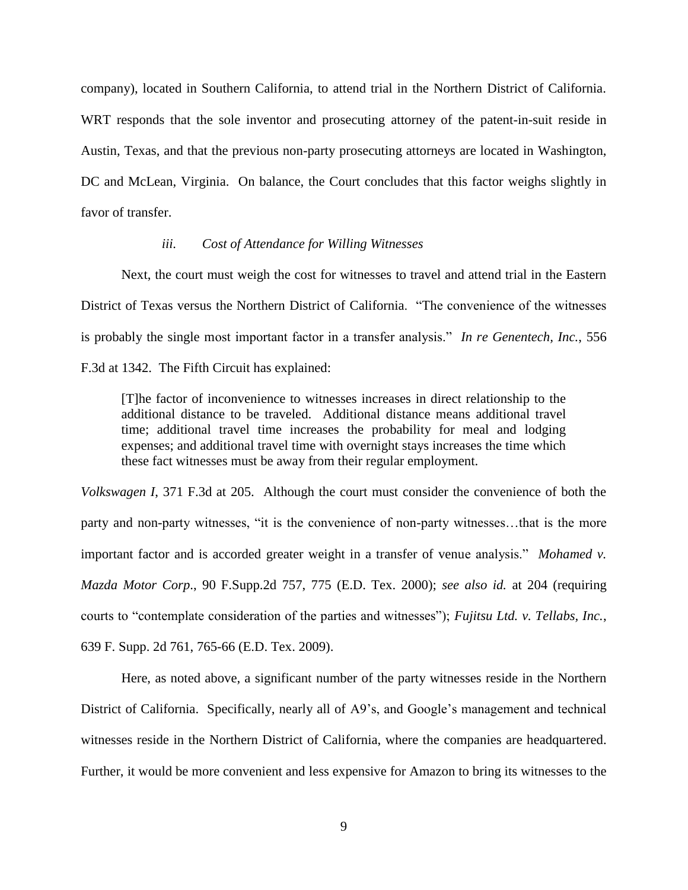company), located in Southern California, to attend trial in the Northern District of California. WRT responds that the sole inventor and prosecuting attorney of the patent-in-suit reside in Austin, Texas, and that the previous non-party prosecuting attorneys are located in Washington, DC and McLean, Virginia. On balance, the Court concludes that this factor weighs slightly in favor of transfer.

### *iii. Cost of Attendance for Willing Witnesses*

Next, the court must weigh the cost for witnesses to travel and attend trial in the Eastern District of Texas versus the Northern District of California. "The convenience of the witnesses is probably the single most important factor in a transfer analysis." *In re Genentech, Inc.*, 556 F.3d at 1342. The Fifth Circuit has explained:

[T]he factor of inconvenience to witnesses increases in direct relationship to the additional distance to be traveled. Additional distance means additional travel time; additional travel time increases the probability for meal and lodging expenses; and additional travel time with overnight stays increases the time which these fact witnesses must be away from their regular employment.

*Volkswagen I*, 371 F.3d at 205. Although the court must consider the convenience of both the party and non-party witnesses, "it is the convenience of non-party witnesses…that is the more important factor and is accorded greater weight in a transfer of venue analysis." *Mohamed v. Mazda Motor Corp*., 90 F.Supp.2d 757, 775 (E.D. Tex. 2000); *see also id.* at 204 (requiring courts to "contemplate consideration of the parties and witnesses"); *Fujitsu Ltd. v. Tellabs, Inc.*, 639 F. Supp. 2d 761, 765-66 (E.D. Tex. 2009).

Here, as noted above, a significant number of the party witnesses reside in the Northern District of California. Specifically, nearly all of A9's, and Google's management and technical witnesses reside in the Northern District of California, where the companies are headquartered. Further, it would be more convenient and less expensive for Amazon to bring its witnesses to the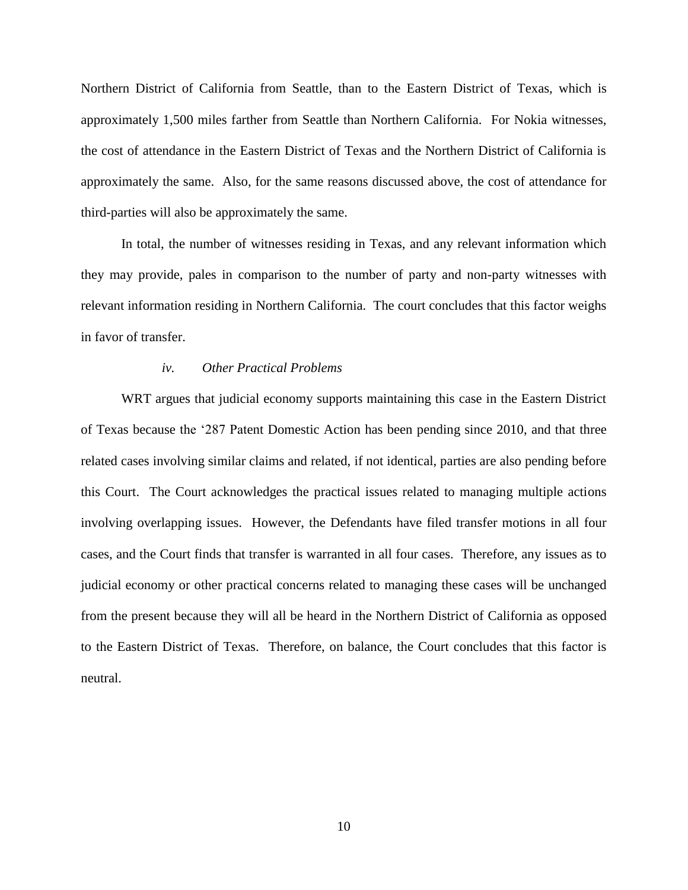Northern District of California from Seattle, than to the Eastern District of Texas, which is approximately 1,500 miles farther from Seattle than Northern California. For Nokia witnesses, the cost of attendance in the Eastern District of Texas and the Northern District of California is approximately the same. Also, for the same reasons discussed above, the cost of attendance for third-parties will also be approximately the same.

In total, the number of witnesses residing in Texas, and any relevant information which they may provide, pales in comparison to the number of party and non-party witnesses with relevant information residing in Northern California. The court concludes that this factor weighs in favor of transfer.

# *iv. Other Practical Problems*

WRT argues that judicial economy supports maintaining this case in the Eastern District of Texas because the '287 Patent Domestic Action has been pending since 2010, and that three related cases involving similar claims and related, if not identical, parties are also pending before this Court. The Court acknowledges the practical issues related to managing multiple actions involving overlapping issues. However, the Defendants have filed transfer motions in all four cases, and the Court finds that transfer is warranted in all four cases. Therefore, any issues as to judicial economy or other practical concerns related to managing these cases will be unchanged from the present because they will all be heard in the Northern District of California as opposed to the Eastern District of Texas. Therefore, on balance, the Court concludes that this factor is neutral.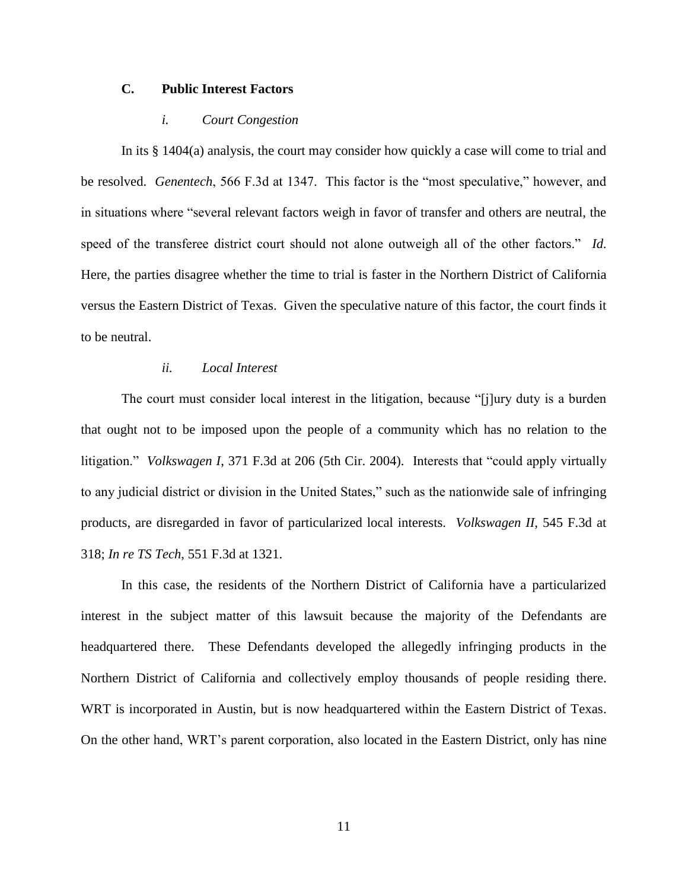# **C. Public Interest Factors**

#### *i. Court Congestion*

In its § 1404(a) analysis, the court may consider how quickly a case will come to trial and be resolved. *Genentech*, 566 F.3d at 1347. This factor is the "most speculative," however, and in situations where "several relevant factors weigh in favor of transfer and others are neutral, the speed of the transferee district court should not alone outweigh all of the other factors." *Id.* Here, the parties disagree whether the time to trial is faster in the Northern District of California versus the Eastern District of Texas. Given the speculative nature of this factor, the court finds it to be neutral.

# *ii. Local Interest*

The court must consider local interest in the litigation, because "[j]ury duty is a burden that ought not to be imposed upon the people of a community which has no relation to the litigation." *Volkswagen I*, 371 F.3d at 206 (5th Cir. 2004). Interests that "could apply virtually to any judicial district or division in the United States," such as the nationwide sale of infringing products, are disregarded in favor of particularized local interests. *Volkswagen II*, 545 F.3d at 318; *In re TS Tech*, 551 F.3d at 1321.

In this case, the residents of the Northern District of California have a particularized interest in the subject matter of this lawsuit because the majority of the Defendants are headquartered there. These Defendants developed the allegedly infringing products in the Northern District of California and collectively employ thousands of people residing there. WRT is incorporated in Austin, but is now headquartered within the Eastern District of Texas. On the other hand, WRT's parent corporation, also located in the Eastern District, only has nine